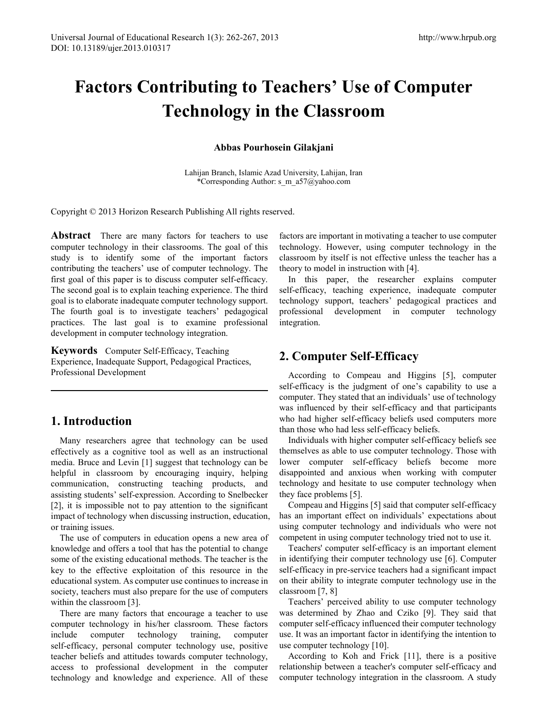# **Factors Contributing to Teachers' Use of Computer Technology in the Classroom**

**Abbas Pourhosein Gilakjani**

Lahijan Branch, Islamic Azad University, Lahijan, Iran \*Corresponding Author: s\_m\_a57@yahoo.com

Copyright © 2013 Horizon Research Publishing All rights reserved.

Abstract There are many factors for teachers to use computer technology in their classrooms. The goal of this study is to identify some of the important factors contributing the teachers' use of computer technology. The first goal of this paper is to discuss computer self-efficacy. The second goal is to explain teaching experience. The third goal is to elaborate inadequate computer technology support. The fourth goal is to investigate teachers' pedagogical practices. The last goal is to examine professional development in computer technology integration.

**Keywords** Computer Self-Efficacy, Teaching Experience, Inadequate Support, Pedagogical Practices, Professional Development

# **1. Introduction**

Many researchers agree that technology can be used effectively as a cognitive tool as well as an instructional media. Bruce and Levin [1] suggest that technology can be helpful in classroom by encouraging inquiry, helping communication, constructing teaching products, and assisting students' self-expression. According to Snelbecker [2], it is impossible not to pay attention to the significant impact of technology when discussing instruction, education, or training issues.

The use of computers in education opens a new area of knowledge and offers a tool that has the potential to change some of the existing educational methods. The teacher is the key to the effective exploitation of this resource in the educational system. As computer use continues to increase in society, teachers must also prepare for the use of computers within the classroom [3].

There are many factors that encourage a teacher to use computer technology in his/her classroom. These factors include computer technology training, computer self-efficacy, personal computer technology use, positive teacher beliefs and attitudes towards computer technology, access to professional development in the computer technology and knowledge and experience. All of these

factors are important in motivating a teacher to use computer technology. However, using computer technology in the classroom by itself is not effective unless the teacher has a theory to model in instruction with [4].

In this paper, the researcher explains computer self-efficacy, teaching experience, inadequate computer technology support, teachers' pedagogical practices and professional development in computer technology integration.

# **2. Computer Self-Efficacy**

According to Compeau and Higgins [5], computer self-efficacy is the judgment of one's capability to use a computer. They stated that an individuals' use of technology was influenced by their self-efficacy and that participants who had higher self-efficacy beliefs used computers more than those who had less self-efficacy beliefs.

Individuals with higher computer self-efficacy beliefs see themselves as able to use computer technology. Those with lower computer self-efficacy beliefs become more disappointed and anxious when working with computer technology and hesitate to use computer technology when they face problems [5].

Compeau and Higgins [5] said that computer self-efficacy has an important effect on individuals' expectations about using computer technology and individuals who were not competent in using computer technology tried not to use it.

Teachers' computer self-efficacy is an important element in identifying their computer technology use [6]. Computer self-efficacy in pre-service teachers had a significant impact on their ability to integrate computer technology use in the classroom [7, 8]

Teachers' perceived ability to use computer technology was determined by Zhao and Cziko [9]. They said that computer self-efficacy influenced their computer technology use. It was an important factor in identifying the intention to use computer technology [10].

According to Koh and Frick [11], there is a positive relationship between a teacher's computer self-efficacy and computer technology integration in the classroom. A study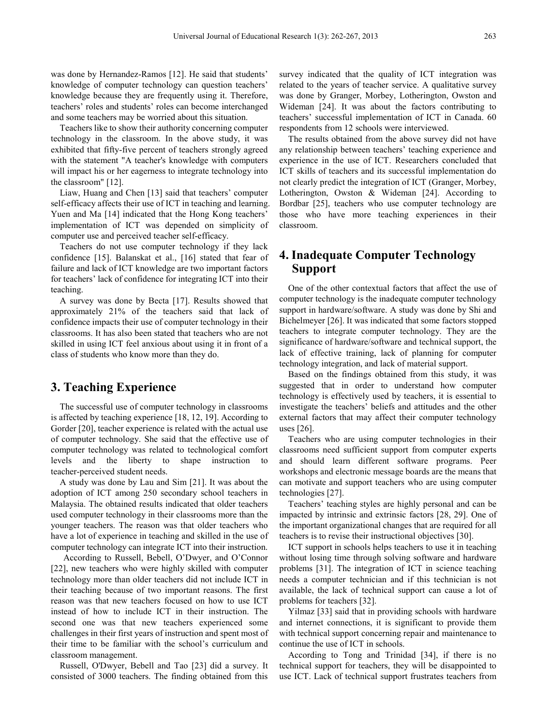was done by Hernandez-Ramos [12]. He said that students' knowledge of computer technology can question teachers' knowledge because they are frequently using it. Therefore, teachers' roles and students' roles can become interchanged and some teachers may be worried about this situation.

Teachers like to show their authority concerning computer technology in the classroom. In the above study, it was exhibited that fifty-five percent of teachers strongly agreed with the statement "A teacher's knowledge with computers will impact his or her eagerness to integrate technology into the classroom" [12].

Liaw, Huang and Chen [13] said that teachers' computer self-efficacy affects their use of ICT in teaching and learning. Yuen and Ma [14] indicated that the Hong Kong teachers' implementation of ICT was depended on simplicity of computer use and perceived teacher self-efficacy.

Teachers do not use computer technology if they lack confidence [15]. Balanskat et al., [16] stated that fear of failure and lack of ICT knowledge are two important factors for teachers' lack of confidence for integrating ICT into their teaching.

A survey was done by Becta [17]. Results showed that approximately 21% of the teachers said that lack of confidence impacts their use of computer technology in their classrooms. It has also been stated that teachers who are not skilled in using ICT feel anxious about using it in front of a class of students who know more than they do.

### **3. Teaching Experience**

The successful use of computer technology in classrooms is affected by teaching experience [18, 12, 19]. According to Gorder [20], teacher experience is related with the actual use of computer technology. She said that the effective use of computer technology was related to technological comfort levels and the liberty to shape instruction to teacher-perceived student needs.

A study was done by Lau and Sim [21]. It was about the adoption of ICT among 250 secondary school teachers in Malaysia. The obtained results indicated that older teachers used computer technology in their classrooms more than the younger teachers. The reason was that older teachers who have a lot of experience in teaching and skilled in the use of computer technology can integrate ICT into their instruction.

According to Russell, Bebell, O'Dwyer, and O'Connor [22], new teachers who were highly skilled with computer technology more than older teachers did not include ICT in their teaching because of two important reasons. The first reason was that new teachers focused on how to use ICT instead of how to include ICT in their instruction. The second one was that new teachers experienced some challenges in their first years of instruction and spent most of their time to be familiar with the school's curriculum and classroom management.

Russell, O'Dwyer, Bebell and Tao [23] did a survey. It consisted of 3000 teachers. The finding obtained from this

survey indicated that the quality of ICT integration was related to the years of teacher service. A qualitative survey was done by Granger, Morbey, Lotherington, Owston and Wideman [24]. It was about the factors contributing to teachers' successful implementation of ICT in Canada. 60 respondents from 12 schools were interviewed.

The results obtained from the above survey did not have any relationship between teachers' teaching experience and experience in the use of ICT. Researchers concluded that ICT skills of teachers and its successful implementation do not clearly predict the integration of ICT (Granger, Morbey, Lotherington, Owston & Wideman [24]. According to Bordbar [25], teachers who use computer technology are those who have more teaching experiences in their classroom.

## **4. Inadequate Computer Technology Support**

One of the other contextual factors that affect the use of computer technology is the inadequate computer technology support in hardware/software. A study was done by Shi and Bichelmeyer [26]. It was indicated that some factors stopped teachers to integrate computer technology. They are the significance of hardware/software and technical support, the lack of effective training, lack of planning for computer technology integration, and lack of material support.

Based on the findings obtained from this study, it was suggested that in order to understand how computer technology is effectively used by teachers, it is essential to investigate the teachers' beliefs and attitudes and the other external factors that may affect their computer technology uses [26].

Teachers who are using computer technologies in their classrooms need sufficient support from computer experts and should learn different software programs. Peer workshops and electronic message boards are the means that can motivate and support teachers who are using computer technologies [27].

Teachers' teaching styles are highly personal and can be impacted by intrinsic and extrinsic factors [28, 29]. One of the important organizational changes that are required for all teachers is to revise their instructional objectives [30].

ICT support in schools helps teachers to use it in teaching without losing time through solving software and hardware problems [31]. The integration of ICT in science teaching needs a computer technician and if this technician is not available, the lack of technical support can cause a lot of problems for teachers [32].

Yilmaz [33] said that in providing schools with hardware and internet connections, it is significant to provide them with technical support concerning repair and maintenance to continue the use of ICT in schools.

According to Tong and Trinidad [34], if there is no technical support for teachers, they will be disappointed to use ICT. Lack of technical support frustrates teachers from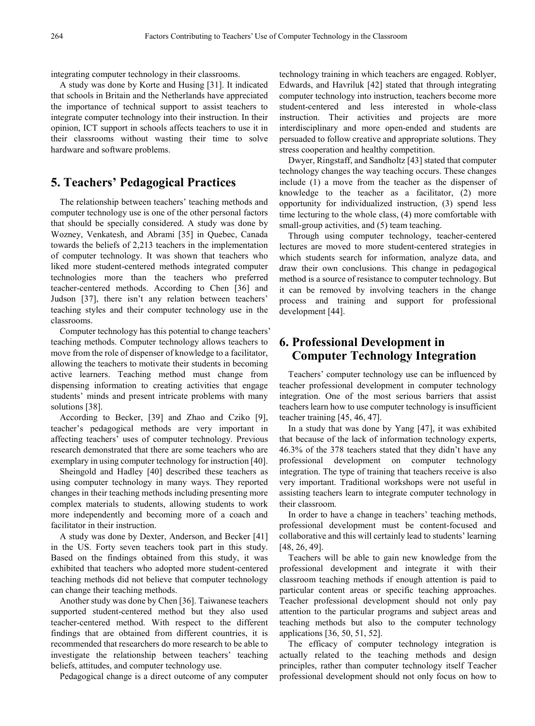integrating computer technology in their classrooms.

A study was done by Korte and Husing [31]. It indicated that schools in Britain and the Netherlands have appreciated the importance of technical support to assist teachers to integrate computer technology into their instruction. In their opinion, ICT support in schools affects teachers to use it in their classrooms without wasting their time to solve hardware and software problems.

### **5. Teachers' Pedagogical Practices**

The relationship between teachers' teaching methods and computer technology use is one of the other personal factors that should be specially considered. A study was done by Wozney, Venkatesh, and Abrami [35] in Quebec, Canada towards the beliefs of 2,213 teachers in the implementation of computer technology. It was shown that teachers who liked more student-centered methods integrated computer technologies more than the teachers who preferred teacher-centered methods. According to Chen [36] and Judson [37], there isn't any relation between teachers' teaching styles and their computer technology use in the classrooms.

Computer technology has this potential to change teachers' teaching methods. Computer technology allows teachers to move from the role of dispenser of knowledge to a facilitator, allowing the teachers to motivate their students in becoming active learners. Teaching method must change from dispensing information to creating activities that engage students' minds and present intricate problems with many solutions [38].

According to Becker, [39] and Zhao and Cziko [9], teacher's pedagogical methods are very important in affecting teachers' uses of computer technology. Previous research demonstrated that there are some teachers who are exemplary in using computer technology for instruction [40].

Sheingold and Hadley [40] described these teachers as using computer technology in many ways. They reported changes in their teaching methods including presenting more complex materials to students, allowing students to work more independently and becoming more of a coach and facilitator in their instruction.

A study was done by Dexter, Anderson, and Becker [41] in the US. Forty seven teachers took part in this study. Based on the findings obtained from this study, it was exhibited that teachers who adopted more student-centered teaching methods did not believe that computer technology can change their teaching methods.

Another study was done by Chen [36]. Taiwanese teachers supported student-centered method but they also used teacher-centered method. With respect to the different findings that are obtained from different countries, it is recommended that researchers do more research to be able to investigate the relationship between teachers' teaching beliefs, attitudes, and computer technology use.

Pedagogical change is a direct outcome of any computer

technology training in which teachers are engaged. Roblyer, Edwards, and Havriluk [42] stated that through integrating computer technology into instruction, teachers become more student-centered and less interested in whole-class instruction. Their activities and projects are more interdisciplinary and more open-ended and students are persuaded to follow creative and appropriate solutions. They stress cooperation and healthy competition.

Dwyer, Ringstaff, and Sandholtz [43] stated that computer technology changes the way teaching occurs. These changes include (1) a move from the teacher as the dispenser of knowledge to the teacher as a facilitator, (2) more opportunity for individualized instruction, (3) spend less time lecturing to the whole class, (4) more comfortable with small-group activities, and (5) team teaching.

Through using computer technology, teacher-centered lectures are moved to more student-centered strategies in which students search for information, analyze data, and draw their own conclusions. This change in pedagogical method is a source of resistance to computer technology. But it can be removed by involving teachers in the change process and training and support for professional development [44].

## **6. Professional Development in Computer Technology Integration**

Teachers' computer technology use can be influenced by teacher professional development in computer technology integration. One of the most serious barriers that assist teachers learn how to use computer technology is insufficient teacher training [45, 46, 47].

In a study that was done by Yang [47], it was exhibited that because of the lack of information technology experts, 46.3% of the 378 teachers stated that they didn't have any professional development on computer technology integration. The type of training that teachers receive is also very important. Traditional workshops were not useful in assisting teachers learn to integrate computer technology in their classroom.

In order to have a change in teachers' teaching methods, professional development must be content-focused and collaborative and this will certainly lead to students' learning [48, 26, 49].

Teachers will be able to gain new knowledge from the professional development and integrate it with their classroom teaching methods if enough attention is paid to particular content areas or specific teaching approaches. Teacher professional development should not only pay attention to the particular programs and subject areas and teaching methods but also to the computer technology applications [36, 50, 51, 52].

The efficacy of computer technology integration is actually related to the teaching methods and design principles, rather than computer technology itself Teacher professional development should not only focus on how to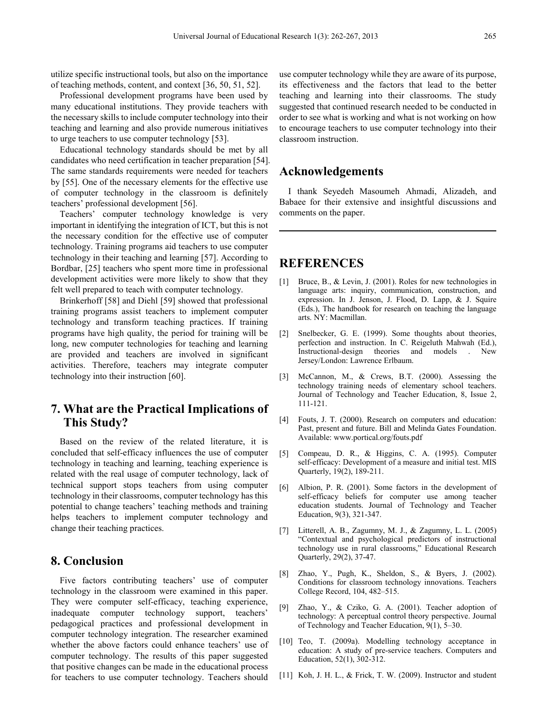utilize specific instructional tools, but also on the importance of teaching methods, content, and context [36, 50, 51, 52].

Professional development programs have been used by many educational institutions. They provide teachers with the necessary skills to include computer technology into their teaching and learning and also provide numerous initiatives to urge teachers to use computer technology [53].

Educational technology standards should be met by all candidates who need certification in teacher preparation [54]. The same standards requirements were needed for teachers by [55]. One of the necessary elements for the effective use of computer technology in the classroom is definitely teachers' professional development [56].

Teachers' computer technology knowledge is very important in identifying the integration of ICT, but this is not the necessary condition for the effective use of computer technology. Training programs aid teachers to use computer technology in their teaching and learning [57]. According to Bordbar, [25] teachers who spent more time in professional development activities were more likely to show that they felt well prepared to teach with computer technology.

Brinkerhoff [58] and Diehl [59] showed that professional training programs assist teachers to implement computer technology and transform teaching practices. If training programs have high quality, the period for training will be long, new computer technologies for teaching and learning are provided and teachers are involved in significant activities. Therefore, teachers may integrate computer technology into their instruction [60].

# **7. What are the Practical Implications of This Study?**

Based on the review of the related literature, it is concluded that self-efficacy influences the use of computer technology in teaching and learning, teaching experience is related with the real usage of computer technology, lack of technical support stops teachers from using computer technology in their classrooms, computer technology has this potential to change teachers' teaching methods and training helps teachers to implement computer technology and change their teaching practices.

#### **8. Conclusion**

Five factors contributing teachers' use of computer technology in the classroom were examined in this paper. They were computer self-efficacy, teaching experience, inadequate computer technology support, teachers' pedagogical practices and professional development in computer technology integration. The researcher examined whether the above factors could enhance teachers' use of computer technology. The results of this paper suggested that positive changes can be made in the educational process for teachers to use computer technology. Teachers should

use computer technology while they are aware of its purpose, its effectiveness and the factors that lead to the better teaching and learning into their classrooms. The study suggested that continued research needed to be conducted in order to see what is working and what is not working on how to encourage teachers to use computer technology into their classroom instruction.

#### **Acknowledgements**

I thank Seyedeh Masoumeh Ahmadi, Alizadeh, and Babaee for their extensive and insightful discussions and comments on the paper.

#### **REFERENCES**

- [1] Bruce, B., & Levin, J. (2001). Roles for new technologies in language arts: inquiry, communication, construction, and expression. In J. Jenson, J. Flood, D. Lapp, & J. Squire (Eds.), The handbook for research on teaching the language arts. NY: Macmillan.
- [2] Snelbecker, G. E. (1999). Some thoughts about theories, perfection and instruction. In C. Reigeluth Mahwah (Ed.), Instructional-design theories and models . New Jersey/London: Lawrence Erlbaum.
- [3] McCannon, M., & Crews, B.T. (2000). Assessing the technology training needs of elementary school teachers. Journal of Technology and Teacher Education, 8, Issue 2, 111-121.
- [4] Fouts, J. T. (2000). Research on computers and education: Past, present and future. Bill and Melinda Gates Foundation. Available: www.portical.org/fouts.pdf
- [5] Compeau, D. R., & Higgins, C. A. (1995). Computer self-efficacy: Development of a measure and initial test. MIS Quarterly, 19(2), 189-211.
- [6] Albion, P. R. (2001). Some factors in the development of self-efficacy beliefs for computer use among teacher education students. Journal of Technology and Teacher Education, 9(3), 321-347.
- [7] Litterell, A. B., Zagumny, M. J., & Zagumny, L. L. (2005) "Contextual and psychological predictors of instructional technology use in rural classrooms," Educational Research Quarterly, 29(2), 37-47.
- [8] Zhao, Y., Pugh, K., Sheldon, S., & Byers, J. (2002). Conditions for classroom technology innovations. Teachers College Record, 104, 482–515.
- [9] Zhao, Y., & Cziko, G. A. (2001). Teacher adoption of technology: A perceptual control theory perspective. Journal of Technology and Teacher Education, 9(1), 5–30.
- [10] Teo, T. (2009a). Modelling technology acceptance in education: A study of pre-service teachers. Computers and Education, 52(1), 302-312.
- [11] Koh, J. H. L., & Frick, T. W. (2009). Instructor and student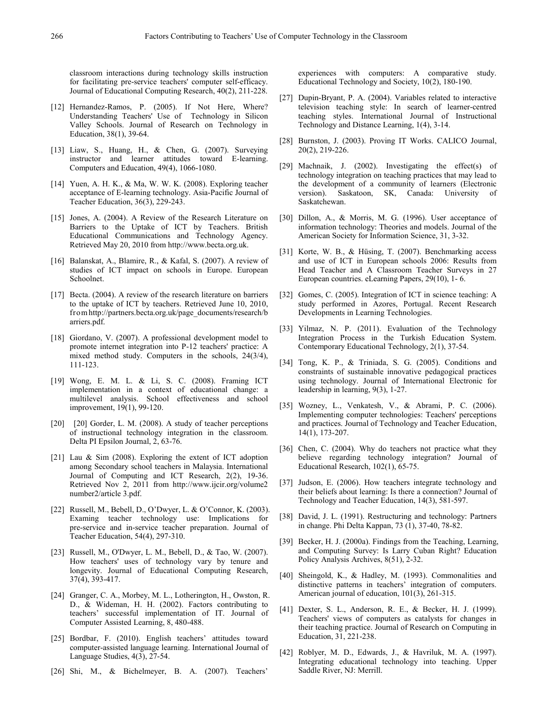classroom interactions during technology skills instruction for facilitating pre-service teachers' computer self-efficacy. Journal of Educational Computing Research, 40(2), 211-228.

- [12] Hernandez-Ramos, P. (2005). If Not Here, Where? Understanding Teachers' Use of Technology in Silicon Valley Schools. Journal of Research on Technology in Education, 38(1), 39-64.
- [13] Liaw, S., Huang, H., & Chen, G. (2007). Surveying instructor and learner attitudes toward E-learning. Computers and Education, 49(4), 1066-1080.
- [14] Yuen, A. H. K., & Ma, W. W. K. (2008). Exploring teacher acceptance of E-learning technology. Asia-Pacific Journal of Teacher Education, 36(3), 229-243.
- [15] Jones, A. (2004). A Review of the Research Literature on Barriers to the Uptake of ICT by Teachers. British Educational Communications and Technology Agency. Retrieved May 20, 2010 from http://www.becta.org.uk.
- [16] Balanskat, A., Blamire, R., & Kafal, S. (2007). A review of studies of ICT impact on schools in Europe. European Schoolnet.
- [17] Becta. (2004). A review of the research literature on barriers to the uptake of ICT by teachers. Retrieved June 10, 2010, fromhttp://partners.becta.org.uk/page\_documents/research/b arriers.pdf.
- [18] Giordano, V. (2007). A professional development model to promote internet integration into P-12 teachers' practice: A mixed method study. Computers in the schools, 24(3/4), 111-123.
- [19] Wong, E. M. L. & Li, S. C. (2008). Framing ICT implementation in a context of educational change: a multilevel analysis. School effectiveness and school improvement, 19(1), 99-120.
- [20] [20] Gorder, L. M. (2008). A study of teacher perceptions of instructional technology integration in the classroom. Delta PI Epsilon Journal, 2, 63-76.
- [21] Lau & Sim (2008). Exploring the extent of ICT adoption among Secondary school teachers in Malaysia. International Journal of Computing and ICT Research, 2(2), 19-36. Retrieved Nov 2, 2011 from http://www.ijcir.org/volume2 number2/article 3.pdf.
- [22] Russell, M., Bebell, D., O'Dwyer, L. & O'Connor, K. (2003). Examing teacher technology use: Implications for pre-service and in-service teacher preparation. Journal of Teacher Education, 54(4), 297-310.
- [23] Russell, M., O'Dwyer, L. M., Bebell, D., & Tao, W. (2007). How teachers' uses of technology vary by tenure and longevity. Journal of Educational Computing Research, 37(4), 393-417.
- [24] Granger, C. A., Morbey, M. L., Lotherington, H., Owston, R. D., & Wideman, H. H. (2002). Factors contributing to teachers' successful implementation of IT. Journal of Computer Assisted Learning, 8, 480-488.
- [25] Bordbar, F. (2010). English teachers' attitudes toward computer-assisted language learning. International Journal of Language Studies, 4(3), 27-54.
- [26] Shi, M., & Bichelmeyer, B. A. (2007). Teachers'

experiences with computers: A comparative study. Educational Technology and Society, 10(2), 180-190.

- [27] Dupin-Bryant, P. A. (2004). Variables related to interactive television teaching style: In search of learner-centred teaching styles. International Journal of Instructional Technology and Distance Learning, 1(4), 3-14.
- [28] Burnston, J. (2003). Proving IT Works. CALICO Journal, 20(2), 219-226.
- [29] Machnaik, J. (2002). Investigating the effect(s) of technology integration on teaching practices that may lead to the development of a community of learners (Electronic version). Saskatoon, SK, Canada: University of Saskatchewan.
- [30] Dillon, A., & Morris, M. G. (1996). User acceptance of information technology: Theories and models. Journal of the American Society for Information Science, 31, 3-32.
- [31] Korte, W. B., & Hüsing, T. (2007). Benchmarking access and use of ICT in European schools 2006: Results from Head Teacher and A Classroom Teacher Surveys in 27 European countries. eLearning Papers, 29(10), 1- 6.
- [32] Gomes, C. (2005). Integration of ICT in science teaching: A study performed in Azores, Portugal. Recent Research Developments in Learning Technologies.
- [33] Yilmaz, N. P. (2011). Evaluation of the Technology Integration Process in the Turkish Education System. Contemporary Educational Technology, 2(1), 37-54.
- [34] Tong, K. P., & Triniada, S. G. (2005). Conditions and constraints of sustainable innovative pedagogical practices using technology. Journal of International Electronic for leadership in learning, 9(3), 1-27.
- [35] Wozney, L., Venkatesh, V., & Abrami, P. C. (2006). Implementing computer technologies: Teachers' perceptions and practices. Journal of Technology and Teacher Education, 14(1), 173-207.
- [36] Chen, C. (2004). Why do teachers not practice what they believe regarding technology integration? Journal of Educational Research, 102(1), 65-75.
- [37] Judson, E. (2006). How teachers integrate technology and their beliefs about learning: Is there a connection? Journal of Technology and Teacher Education, 14(3), 581-597.
- [38] David, J. L. (1991). Restructuring and technology: Partners in change. Phi Delta Kappan, 73 (1), 37-40, 78-82.
- [39] Becker, H. J. (2000a). Findings from the Teaching, Learning, and Computing Survey: Is Larry Cuban Right? Education Policy Analysis Archives, 8(51), 2-32.
- [40] Sheingold, K., & Hadley, M. (1993). Commonalities and distinctive patterns in teachers' integration of computers. American journal of education, 101(3), 261-315.
- [41] Dexter, S. L., Anderson, R. E., & Becker, H. J. (1999). Teachers' views of computers as catalysts for changes in their teaching practice. Journal of Research on Computing in Education, 31, 221-238.
- [42] Roblyer, M. D., Edwards, J., & Havriluk, M. A. (1997). Integrating educational technology into teaching. Upper Saddle River, NJ: Merrill.